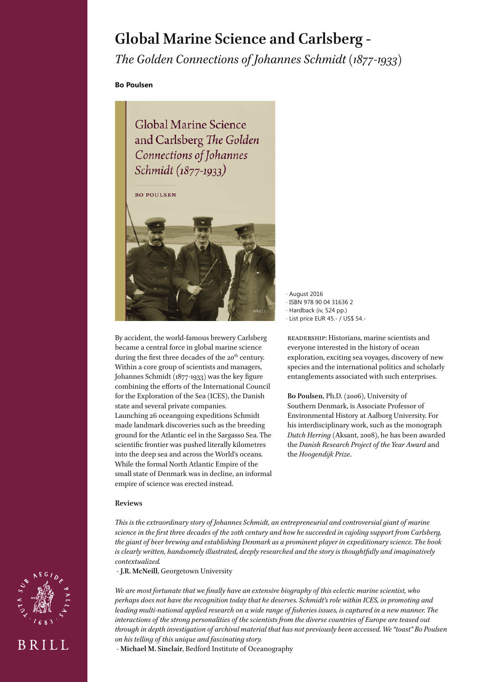# **Global Marine Science and Carlsberg -**

*The Golden Connections of Johannes Schmidt (1877-1933)*

**Bo Poulsen**

Global Marine Science and Carlsberg The Golden Connections of Johannes Schmidt (1877-1933)

**BO POULSEN** 



By accident, the world-famous brewery Carlsberg became a central force in global marine science during the first three decades of the 20<sup>th</sup> century. Within a core group of scientists and managers, Johannes Schmidt (1877-1933) was the key figure combining the efforts of the International Council for the Exploration of the Sea (ICES), the Danish state and several private companies. Launching 26 oceangoing expeditions Schmidt made landmark discoveries such as the breeding ground for the Atlantic eel in the Sargasso Sea. The scientific frontier was pushed literally kilometres into the deep sea and across the World's oceans. While the formal North Atlantic Empire of the small state of Denmark was in decline, an informal empire of science was erected instead.

· August 2016 · ISBN 978 90 04 31636 2 · Hardback (iv, 524 pp.) · List price EUR 45.- / US\$ 54.-

readership: Historians, marine scientists and everyone interested in the history of ocean exploration, exciting sea voyages, discovery of new species and the international politics and scholarly entanglements associated with such enterprises.

**Bo Poulsen**, Ph.D. (2006), University of Southern Denmark, is Associate Professor of Environmental History at Aalborg University. For his interdisciplinary work, such as the monograph *Dutch Herring* (Aksant, 2008), he has been awarded the *Danish Research Project of the Year Award* and the *Hoogendijk Prize*.

#### **Reviews**

BRILL

*This is the extraordinary story of Johannes Schmidt, an entrepreneurial and controversial giant of marine science in the first three decades of the 20th century and how he succeeded in cajoling support from Carlsberg, the giant of beer brewing and establishing Denmark as a prominent player in expeditionary science. The book is clearly written, handsomely illustrated, deeply researched and the story is thoughtfully and imaginatively contextualized.* 

- **J.R. McNeill**, Georgetown University

*We are most fortunate that we finally have an extensive biography of this eclectic marine scientist, who perhaps does not have the recognition today that he deserves. Schmidt's role within ICES, in promoting and leading multi-national applied research on a wide range of fisheries issues, is captured in a new manner. The interactions of the strong personalities of the scientists from the diverse countries of Europe are teased out through in depth investigation of archival material that has not previously been accessed. We "toast" Bo Poulsen on his telling of this unique and fascinating story.* 

- **Michael M. Sinclair**, Bedford Institute of Oceanography